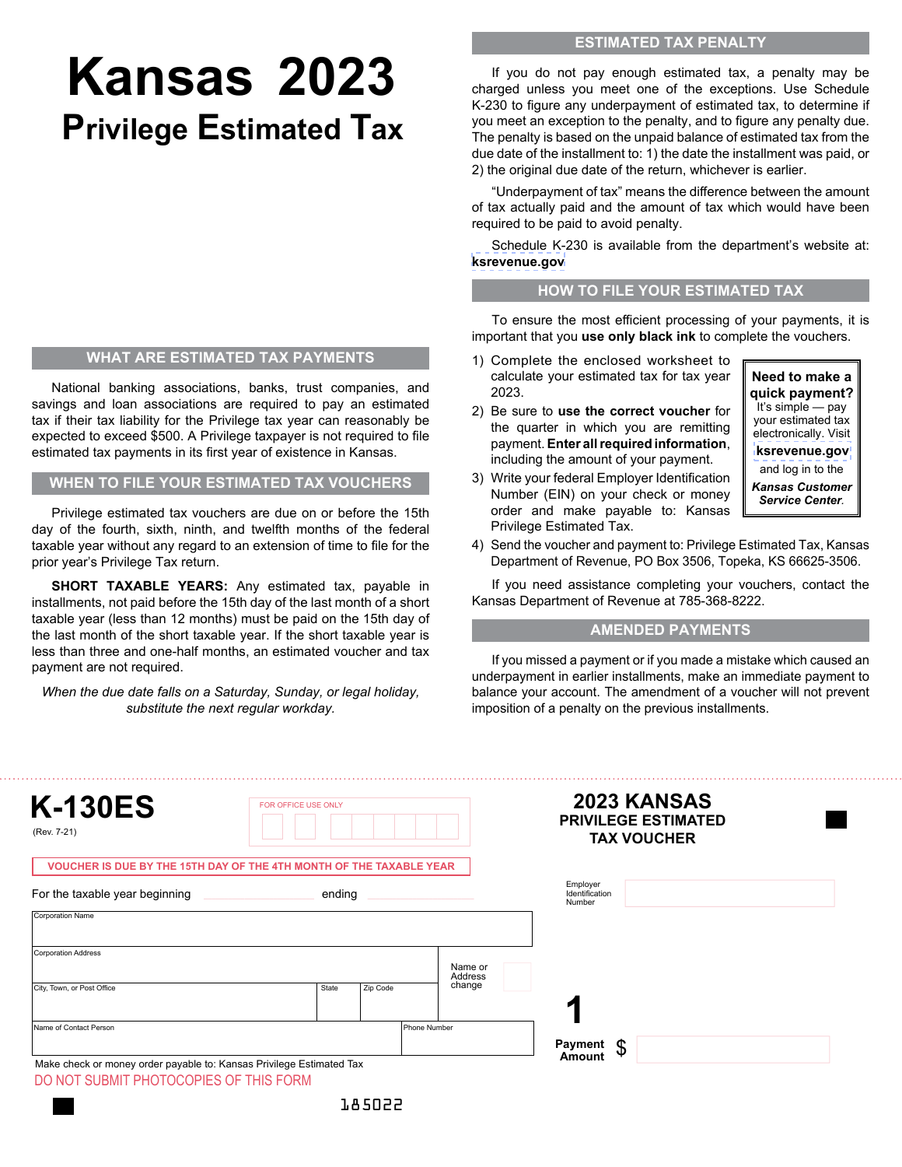## **Kansas 2023 Privilege Estimated Tax**

## **WHAT ARE ESTIMATED TAX PAYMENTS**

National banking associations, banks, trust companies, and savings and loan associations are required to pay an estimated tax if their tax liability for the Privilege tax year can reasonably be expected to exceed \$500. A Privilege taxpayer is not required to file estimated tax payments in its first year of existence in Kansas.

**WHEN TO FILE YOUR ESTIMATED TAX VOUCHERS**

Privilege estimated tax vouchers are due on or before the 15th day of the fourth, sixth, ninth, and twelfth months of the federal taxable year without any regard to an extension of time to file for the prior year's Privilege Tax return.

**SHORT TAXABLE YEARS:** Any estimated tax, payable in installments, not paid before the 15th day of the last month of a short taxable year (less than 12 months) must be paid on the 15th day of the last month of the short taxable year. If the short taxable year is less than three and one-half months, an estimated voucher and tax payment are not required.

*When the due date falls on a Saturday, Sunday, or legal holiday, substitute the next regular workday.*

If you do not pay enough estimated tax, a penalty may be charged unless you meet one of the exceptions. Use Schedule K-230 to figure any underpayment of estimated tax, to determine if you meet an exception to the penalty, and to figure any penalty due. The penalty is based on the unpaid balance of estimated tax from the due date of the installment to: 1) the date the installment was paid, or 2) the original due date of the return, whichever is earlier.

"Underpayment of tax" means the difference between the amount of tax actually paid and the amount of tax which would have been required to be paid to avoid penalty.

Schedule K-230 is available from the department's website at: **[ksrevenue.gov](https://www.ksrevenue.org/bustaxtypespriv.html)**

## **HOW TO FILE YOUR ESTIMATED TAX**

To ensure the most efficient processing of your payments, it is important that you **use only black ink** to complete the vouchers.

- 1) Complete the enclosed worksheet to calculate your estimated tax for tax year 2023.
- 2) Be sure to **use the correct voucher** for the quarter in which you are remitting payment. **Enter all required information**, including the amount of your payment.



- 3) Write your federal Employer Identification Number (EIN) on your check or money order and make payable to: Kansas Privilege Estimated Tax.
- 4) Send the voucher and payment to: Privilege Estimated Tax, Kansas Department of Revenue, PO Box 3506, Topeka, KS 66625-3506.

If you need assistance completing your vouchers, contact the Kansas Department of Revenue at 785-368-8222.

## **AMENDED PAYMENTS**

If you missed a payment or if you made a mistake which caused an underpayment in earlier installments, make an immediate payment to balance your account. The amendment of a voucher will not prevent imposition of a penalty on the previous installments.

| <b>K-130ES</b><br>(Rev. 7-21)                                                                                  | FOR OFFICE USE ONLY |              |                   | 2023 KANSAS<br><b>PRIVILEGE ESTIMATED</b><br><b>TAX VOUCHER</b> |  |
|----------------------------------------------------------------------------------------------------------------|---------------------|--------------|-------------------|-----------------------------------------------------------------|--|
| VOUCHER IS DUE BY THE 15TH DAY OF THE 4TH MONTH OF THE TAXABLE YEAR                                            |                     |              |                   |                                                                 |  |
| For the taxable year beginning                                                                                 | ending              |              |                   | Employer<br>Identification<br>Number                            |  |
| Corporation Name                                                                                               |                     |              |                   |                                                                 |  |
| Corporation Address                                                                                            |                     |              | Name or           |                                                                 |  |
| City, Town, or Post Office                                                                                     | State               | Zip Code     | Address<br>change |                                                                 |  |
| Name of Contact Person                                                                                         |                     | Phone Number |                   |                                                                 |  |
| Make check or money order payable to: Kansas Privilege Estimated Tax<br>DO NOT SUBMIT PHOTOCOPIES OF THIS FORM |                     |              |                   | Payment<br>\$<br>Amount                                         |  |